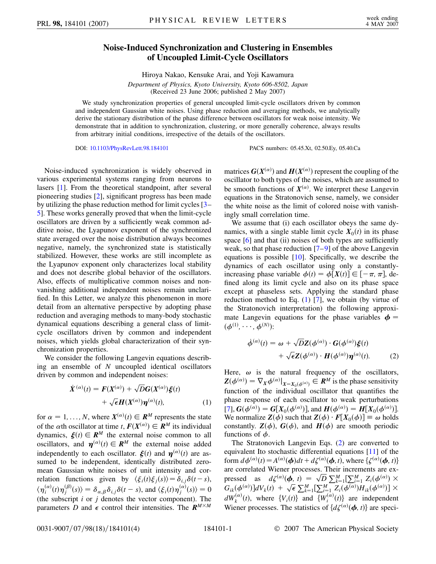## **Noise-Induced Synchronization and Clustering in Ensembles of Uncoupled Limit-Cycle Oscillators**

Hiroya Nakao, Kensuke Arai, and Yoji Kawamura

*Department of Physics, Kyoto University, Kyoto 606-8502, Japan* (Received 23 June 2006; published 2 May 2007)

We study synchronization properties of general uncoupled limit-cycle oscillators driven by common and independent Gaussian white noises. Using phase reduction and averaging methods, we analytically derive the stationary distribution of the phase difference between oscillators for weak noise intensity. We demonstrate that in addition to synchronization, clustering, or more generally coherence, always results from arbitrary initial conditions, irrespective of the details of the oscillators.

DOI: [10.1103/PhysRevLett.98.184101](http://dx.doi.org/10.1103/PhysRevLett.98.184101) PACS numbers: 05.45.Xt, 02.50.Ey, 05.40.Ca

Noise-induced synchronization is widely observed in various experimental systems ranging from neurons to lasers [[1](#page-3-0)]. From the theoretical standpoint, after several pioneering studies [\[2\]](#page-3-1), significant progress has been made by utilizing the phase reduction method for limit cycles [[3](#page-3-2)– [5](#page-3-3)]. These works generally proved that when the limit-cycle oscillators are driven by a sufficiently weak common additive noise, the Lyapunov exponent of the synchronized state averaged over the noise distribution always becomes negative, namely, the synchronized state is statistically stabilized. However, these works are still incomplete as the Lyapunov exponent only characterizes local stability and does not describe global behavior of the oscillators. Also, effects of multiplicative common noises and nonvanishing additional independent noises remain unclarified. In this Letter, we analyze this phenomenon in more detail from an alternative perspective by adopting phase reduction and averaging methods to many-body stochastic dynamical equations describing a general class of limitcycle oscillators driven by common and independent noises, which yields global characterization of their synchronization properties.

<span id="page-0-0"></span>We consider the following Langevin equations describing an ensemble of *N* uncoupled identical oscillators driven by common and independent noises:

$$
\dot{X}^{(\alpha)}(t) = F(X^{(\alpha)}) + \sqrt{D}G(X^{(\alpha)})\xi(t) \n+ \sqrt{\epsilon}H(X^{(\alpha)})\eta^{(\alpha)}(t),
$$
\n(1)

for  $\alpha = 1, \ldots, N$ , where  $X^{(\alpha)}(t) \in \mathbb{R}^M$  represents the state of the  $\alpha$ th oscillator at time *t*,  $F(X^{(\alpha)}) \in \mathbb{R}^M$  its individual dynamics,  $\xi(t) \in \mathbb{R}^M$  the external noise common to all oscillators, and  $\boldsymbol{\eta}^{(\alpha)}(t) \in \mathbb{R}^M$  the external noise added independently to each oscillator.  $\xi(t)$  and  $\eta^{(\alpha)}(t)$  are assumed to be independent, identically distributed zeromean Gaussian white noises of unit intensity and correlation functions given by  $\langle \xi_i(t) \xi_j(s) \rangle = \delta_{i,j} \delta(t-s)$ ,  $\langle \eta_i^{(\alpha)}(t)\eta_j^{(\beta)}(s)\rangle = \delta_{\alpha,\beta}\delta_{i,j}\delta(t-s)$ , and  $\langle \xi_i(t)\eta_j^{(\alpha)}(s)\rangle = 0$ (the subscript *i* or *j* denotes the vector component). The parameters *D* and  $\epsilon$  control their intensities. The  $R^{M \times M}$ 

matrices  $G(X^{(\alpha)})$  and  $H(X^{(\alpha)})$  represent the coupling of the oscillator to both types of the noises, which are assumed to be smooth functions of  $X^{(\alpha)}$ . We interpret these Langevin equations in the Stratonovich sense, namely, we consider the white noise as the limit of colored noise with vanishingly small correlation time.

We assume that (i) each oscillator obeys the same dynamics, with a single stable limit cycle  $X_0(t)$  in its phase space  $[6]$  $[6]$  $[6]$  and that (ii) noises of both types are sufficiently weak, so that phase reduction [[7](#page-3-5)–[9\]](#page-3-6) of the above Langevin equations is possible [[10](#page-3-7)]. Specifically, we describe the dynamics of each oscillator using only a constantlyincreasing phase variable  $\phi(t) = \phi[X(t)] \in [-\pi, \pi]$ , defined along its limit cycle and also on its phase space except at phaseless sets. Applying the standard phase reduction method to Eq.  $(1)$  $(1)$  [[7\]](#page-3-5), we obtain (by virtue of the Stratonovich interpretation) the following approximate Langevin equations for the phase variables  $\phi =$  $(\phi^{(1)}, \cdots, \phi^{(N)})$ :

<span id="page-0-1"></span>
$$
\dot{\phi}^{(\alpha)}(t) = \omega + \sqrt{D} \mathbf{Z}(\phi^{(\alpha)}) \cdot \mathbf{G}(\phi^{(\alpha)}) \xi(t) \n+ \sqrt{\epsilon} \mathbf{Z}(\phi^{(\alpha)}) \cdot \mathbf{H}(\phi^{(\alpha)}) \boldsymbol{\eta}^{(\alpha)}(t).
$$
\n(2)

Here,  $\omega$  is the natural frequency of the oscillators,  $Z(\phi^{(\alpha)}) = \nabla_X \phi^{(\alpha)}|_{X = X_0(\phi^{(\alpha)})} \in \mathbb{R}^M$  is the phase sensitivity function of the individual oscillator that quantifies the phase response of each oscillator to weak perturbations  $\mathbf{G}(\phi^{(\alpha)}) = \mathbf{G}[X_0(\phi^{(\alpha)})],$  and  $\mathbf{H}(\phi^{(\alpha)}) = \mathbf{H}[X_0(\phi^{(\alpha)})].$ We normalize  $\mathbf{Z}(\phi)$  such that  $\mathbf{Z}(\phi) \cdot \mathbf{F}[X_0(\phi)] \equiv \omega$  holds constantly.  $\mathbf{Z}(\phi)$ ,  $\mathbf{G}(\phi)$ , and  $\mathbf{H}(\phi)$  are smooth periodic functions of  $\phi$ .

The Stratonovich Langevin Eqs. [\(2](#page-0-1)) are converted to equivalent Ito stochastic differential equations [[11](#page-3-8)] of the form  $d\phi^{(\alpha)}(t) = A^{(\alpha)}(\phi)dt + d\zeta^{(\alpha)}(\phi, t)$ , where  $\{\zeta^{(\alpha)}(\phi, t)\}$ are correlated Wiener processes. Their increments are exare correlated wiener processes. Their increments are ex-<br>pressed as  $d\zeta^{(\alpha)}(\phi, t) = \sqrt{D} \sum_{k=1}^{M} [\sum_{i=1}^{M} Z_i(\phi^{(\alpha)}) \times$  $G_{ik}(\phi^{(\alpha)})[dV_k(t) + \sqrt{\epsilon} \sum_{k=1}^M [\sum_{i=1}^M Z_i(\phi^{(\alpha)})H_{ik}(\phi^{(\alpha)})] \times$  $dW_k^{(\alpha)}(t)$ , where  $\{V_i(t)\}\$  and  $\{W_i^{(\alpha)}(t)\}\$  are independent Wiener processes. The statistics of  $\{d\zeta^{(\alpha)}(\boldsymbol{\phi},t)\}$  are speci-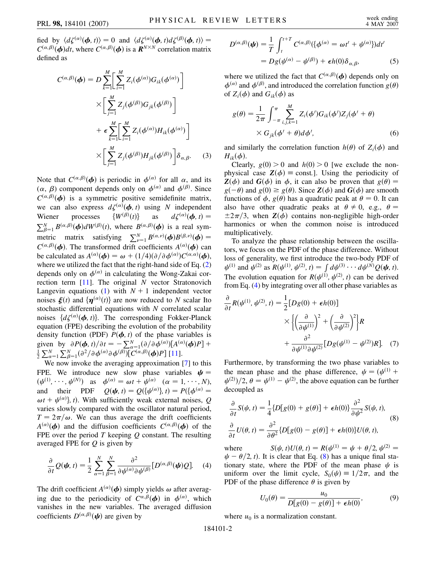fied by  $\langle d\zeta^{(\alpha)}(\boldsymbol{\phi},t)\rangle = 0$  and  $\langle d\zeta^{(\alpha)}(\boldsymbol{\phi},t)d\zeta^{(\beta)}(\boldsymbol{\phi},t)\rangle =$  $C^{(\alpha,\beta)}(\boldsymbol{\phi})dt$ , where  $C^{(\alpha,\beta)}(\boldsymbol{\phi})$  is a  $\mathbb{R}^{N\times N}$  correlation matrix defined as

$$
C^{(\alpha,\beta)}(\boldsymbol{\phi}) = D \sum_{k=1}^{M} \left[ \sum_{i=1}^{M} Z_i(\phi^{(\alpha)}) G_{ik}(\phi^{(\alpha)}) \right]
$$

$$
\times \left[ \sum_{j=1}^{M} Z_j(\phi^{(\beta)}) G_{jk}(\phi^{(\beta)}) \right]
$$

$$
+ \epsilon \sum_{k=1}^{M} \left[ \sum_{i=1}^{M} Z_i(\phi^{(\alpha)}) H_{ik}(\phi^{(\alpha)}) \right]
$$

$$
\times \left[ \sum_{j=1}^{M} Z_j(\phi^{(\beta)}) H_{jk}(\phi^{(\beta)}) \right] \delta_{\alpha,\beta}.
$$
 (3)

Note that  $C^{(\alpha,\beta)}(\boldsymbol{\phi})$  is periodic in  $\phi^{(\alpha)}$  for all  $\alpha$ , and its  $(\alpha, \beta)$  component depends only on  $\phi^{(\alpha)}$  and  $\phi^{(\beta)}$ . Since  $C^{(\alpha,\beta)}(\phi)$  is a symmetric positive semidefinite matrix, we can also express  $d\zeta^{(\alpha)}(\boldsymbol{\phi}, t)$  using *N* independent Wiener processes  $^{(t)}$  $\}$  as  $d\zeta^{(\alpha)}(\boldsymbol{\phi}, t) =$  $\sum_{\beta=1}^{N} B^{(\alpha,\beta)}(\boldsymbol{\phi}) dW^{(\beta)}(t)$ , where  $B^{(\alpha,\beta)}(\boldsymbol{\phi})$  is a real symmetric matrix satisfying  $\sum_{\nu=1}^{N} B^{(\alpha,\nu)}(\boldsymbol{\phi})B^{(\beta,\nu)}(\boldsymbol{\phi}) =$  $C^{(\alpha,\beta)}(\boldsymbol{\phi})$ . The transformed drift coefficients  $A^{(\alpha)}(\boldsymbol{\phi})$  can be calculated as  $A^{(\alpha)}(\boldsymbol{\phi}) = \omega + (1/4)(\partial/\partial \phi^{(\alpha)})C^{(\alpha,\alpha)}(\boldsymbol{\phi}),$ where we utilized the fact that the right-hand side of Eq. [\(2\)](#page-0-1) depends only on  $\phi^{(\alpha)}$  in calculating the Wong-Zakai correction term [\[11\]](#page-3-8). The original *N* vector Stratonovich Langevin equations [\(1\)](#page-0-0) with  $N + 1$  independent vector noises  $\xi(t)$  and  $\{\eta^{(\alpha)}(t)\}\$  are now reduced to *N* scalar Ito stochastic differential equations with *N* correlated scalar noises  $\{d\zeta^{(\alpha)}(\boldsymbol{\phi},t)\}$ . The corresponding Fokker-Planck equation (FPE) describing the evolution of the probability density function (PDF)  $P(\phi, t)$  of the phase variables is given by  $\partial P(\phi, t)/\partial t = -\sum_{\alpha=1}^{N} (\partial/\partial \phi^{(\alpha)}) [A^{(\alpha)}(\phi)P] +$  $\frac{1}{2}\sum_{\alpha=1}^{N}\sum_{\beta=1}^{N}(\frac{\partial^{2}}{\partial}\phi^{(\alpha)}\partial\phi^{(\beta)})[\mathcal{C}^{(\alpha,\beta)}(\boldsymbol{\phi})P][11].$  $\frac{1}{2}\sum_{\alpha=1}^{N}\sum_{\beta=1}^{N}(\frac{\partial^{2}}{\partial}\phi^{(\alpha)}\partial\phi^{(\beta)})[\mathcal{C}^{(\alpha,\beta)}(\boldsymbol{\phi})P][11].$  $\frac{1}{2}\sum_{\alpha=1}^{N}\sum_{\beta=1}^{N}(\frac{\partial^{2}}{\partial}\phi^{(\alpha)}\partial\phi^{(\beta)})[\mathcal{C}^{(\alpha,\beta)}(\boldsymbol{\phi})P][11].$ 

We now invoke the averaging approximation [[7](#page-3-5)] to this FPE. We introduce new slow phase variables  $\psi$  =  $(\psi^{(1)}, \cdots, \psi^{(N)})$  as  $\phi^{(\alpha)} = \omega t + \psi^{(\alpha)}$   $(\alpha = 1, \cdots, N)$ , and their PDF  $Q(\psi, t) = Q(\{\psi^{(\alpha)}\}, t) = P(\{\phi^{(\alpha)}\})$  $\omega t + \psi^{(\alpha)}$ , *t*). With sufficiently weak external noises, *Q* varies slowly compared with the oscillator natural period,  $T = 2\pi/\omega$ . We can thus average the drift coefficients  $A^{(\alpha)}(\boldsymbol{\phi})$  and the diffusion coefficients  $C^{(\alpha,\beta)}(\boldsymbol{\phi})$  of the FPE over the period *T* keeping *Q* constant. The resulting averaged FPE for *Q* is given by

<span id="page-1-0"></span>
$$
\frac{\partial}{\partial t}Q(\boldsymbol{\psi},t) = \frac{1}{2} \sum_{\alpha=1}^{N} \sum_{\beta=1}^{N} \frac{\partial^2}{\partial \boldsymbol{\psi}^{(\alpha)} \partial \boldsymbol{\psi}^{(\beta)}} [D^{(\alpha,\beta)}(\boldsymbol{\psi})Q]. \quad (4)
$$

The drift coefficient  $A^{(\alpha)}(\boldsymbol{\phi})$  simply yields  $\omega$  after averaging due to the periodicity of  $C^{\alpha,\beta}(\phi)$  in  $\phi^{(\alpha)}$ , which vanishes in the new variables. The averaged diffusion coefficients  $D^{(\alpha,\beta)}(\psi)$  are given by

$$
D^{(\alpha,\beta)}(\psi) = \frac{1}{T} \int_{t}^{t+T} C^{(\alpha,\beta)}(\{\phi^{(\alpha)} = \omega t' + \psi^{(\alpha)}\})dt'
$$
  
= 
$$
D_g(\psi^{(\alpha)} - \psi^{(\beta)}) + \epsilon h(0)\delta_{\alpha,\beta},
$$
 (5)

where we utilized the fact that  $C^{(\alpha,\beta)}(\boldsymbol{\phi})$  depends only on  $\phi^{(\alpha)}$  and  $\phi^{(\beta)}$ , and introduced the correlation function  $g(\theta)$ of  $Z_i(\phi)$  and  $G_{ik}(\phi)$  as

<span id="page-1-2"></span>
$$
g(\theta) = \frac{1}{2\pi} \int_{-\pi}^{\pi} \sum_{i,j,k=1}^{M} Z_i(\phi') G_{ik}(\phi') Z_j(\phi' + \theta)
$$
  
×  $G_{jk}(\phi' + \theta) d\phi'$ , (6)

and similarly the correlation function  $h(\theta)$  of  $Z_i(\phi)$  and  $H_{ik}(\phi)$ .

Clearly,  $g(0) > 0$  and  $h(0) > 0$  [we exclude the nonphysical case  $Z(\phi) \equiv \text{const.}$ ]. Using the periodicity of  $\mathbf{Z}(\phi)$  and  $\mathbf{G}(\phi)$  in  $\phi$ , it can also be proven that  $g(\theta) =$  $g(-\theta)$  and  $g(0) \ge g(\theta)$ . Since  $\mathbf{Z}(\phi)$  and  $\mathbf{G}(\phi)$  are smooth functions of  $\phi$ ,  $g(\theta)$  has a quadratic peak at  $\theta = 0$ . It can also have other quadratic peaks at  $\theta \neq 0$ , e.g.,  $\theta =$  $\pm 2\pi/3$ , when  $\mathbf{Z}(\phi)$  contains non-negligible high-order harmonics or when the common noise is introduced multiplicatively.

To analyze the phase relationship between the oscillators, we focus on the PDF of the phase difference. Without loss of generality, we first introduce the two-body PDF of  $\psi^{(1)}$  and  $\psi^{(2)}$  as  $R(\psi^{(1)}, \psi^{(2)}, t) = \int d\psi^{(3)} \cdots d\psi^{(N)} Q(\psi, t)$ . The evolution equation for  $R(\psi^{(1)}, \psi^{(2)}, t)$  can be derived from Eq. [\(4](#page-1-0)) by integrating over all other phase variables as

$$
\frac{\partial}{\partial t} R(\psi^{(1)}, \psi^{(2)}, t) = \frac{1}{2} [Dg(0) + \epsilon h(0)]
$$
\n
$$
\times \left\{ \left( \frac{\partial}{\partial \psi^{(1)}} \right)^2 + \left( \frac{\partial}{\partial \psi^{(2)}} \right)^2 \right\} R
$$
\n
$$
+ \frac{\partial^2}{\partial \psi^{(1)} \partial \psi^{(2)}} [Dg(\psi^{(1)} - \psi^{(2)})R]. \quad (7)
$$

Furthermore, by transforming the two phase variables to the mean phase and the phase difference,  $\psi = (\psi^{(1)} + \mathbf{I})$  $\psi^{(2)}$ //2,  $\theta = \psi^{(1)} - \psi^{(2)}$ , the above equation can be further decoupled as

<span id="page-1-1"></span>
$$
\frac{\partial}{\partial t}S(\psi, t) = \frac{1}{4}\{D[g(0) + g(\theta)] + \epsilon h(0)\}\frac{\partial^2}{\partial \psi^2}S(\psi, t),
$$
\n
$$
\frac{\partial}{\partial t}U(\theta, t) = \frac{\partial^2}{\partial \theta^2}\{D[g(0) - g(\theta)] + \epsilon h(0)\}U(\theta, t),
$$
\n(8)

where  $S(\psi, t)U(\theta, t) = R(\psi^{(1)} = \psi + \theta/2, \psi^{(2)} =$  $\psi - \theta/2$ , *t*). It is clear that Eq. [\(8\)](#page-1-1) has a unique final stationary state, where the PDF of the mean phase  $\psi$  is uniform over the limit cycle,  $S_0(\psi) \equiv 1/2\pi$ , and the PDF of the phase difference  $\theta$  is given by

$$
U_0(\theta) = \frac{u_0}{D[g(0) - g(\theta)] + \epsilon h(0)},
$$
\n(9)

<span id="page-1-3"></span>where  $u_0$  is a normalization constant.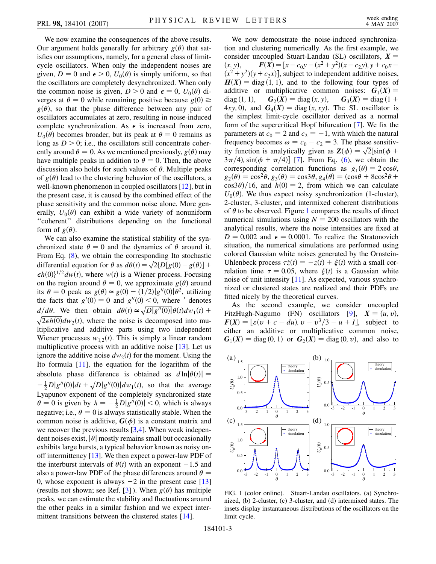We now examine the consequences of the above results. Our argument holds generally for arbitrary  $g(\theta)$  that satisfies our assumptions, namely, for a general class of limitcycle oscillators. When only the independent noises are given,  $D = 0$  and  $\epsilon > 0$ ,  $U_0(\theta)$  is simply uniform, so that the oscillators are completely desynchronized. When only the common noise is given,  $D > 0$  and  $\epsilon = 0$ ,  $U_0(\theta)$  diverges at  $\theta = 0$  while remaining positive because  $g(0) \ge$  $g(\theta)$ , so that the phase difference between any pair of oscillators accumulates at zero, resulting in noise-induced complete synchronization. As  $\epsilon$  is increased from zero,  $U_0(\theta)$  becomes broader, but its peak at  $\theta = 0$  remains as long as  $D > 0$ ; i.e., the oscillators still concentrate coherently around  $\theta = 0$ . As we mentioned previously,  $g(\theta)$  may have multiple peaks in addition to  $\theta = 0$ . Then, the above discussion also holds for such values of  $\theta$ . Multiple peaks of  $g(\theta)$  lead to the clustering behavior of the oscillators, a well-known phenomenon in coupled oscillators [[12](#page-3-9)], but in the present case, it is caused by the combined effect of the phase sensitivity and the common noise alone. More generally,  $U_0(\theta)$  can exhibit a wide variety of nonuniform ''coherent'' distributions depending on the functional form of  $g(\theta)$ .

We can also examine the statistical stability of the synchronized state  $\theta = 0$  and the dynamics of  $\theta$  around it. From Eq. ([8\)](#page-1-1), we obtain the corresponding Ito stochastic From Eq. (8), we obtain the corresponding to stochastic<br>differential equation for  $\theta$  as  $d\theta(t) = \sqrt{2} \{D[g(0) - g(\theta)] +$  $\epsilon h(0)$ <sup>1/2</sup>*dw*(*t*), where *w*(*t*) is a Wiener process. Focusing on the region around  $\theta = 0$ , we approximate  $g(\theta)$  around its  $\theta = 0$  peak as  $g(\theta) \approx g(0) - (1/2)|g''(0)|\theta^2$ , utilizing the facts that  $g'(0) = 0$  and  $g''(0) < 0$ , where ' denotes  $d/d\theta$ . We then obtain  $d\theta(t) \approx \sqrt{D[g''(0)]}\theta(t)dw_1(t) +$  $\sqrt{2\epsilon h(0)}dw_2(t)$ , where the noise is decomposed into multiplicative and additive parts using two independent Wiener processes  $w_{1,2}(t)$ . This is simply a linear random multiplicative process with an additive noise [\[13\]](#page-3-10). Let us ignore the additive noise  $dw_2(t)$  for the moment. Using the Ito formula  $[11]$  $[11]$ , the equation for the logarithm of the absolute phase difference is obtained as  $d \ln |\theta(t)| =$  $-\frac{1}{2}D|g''(0)|dt + \sqrt{D|g''(0)}|dw_1(t)$ , so that the average Lyapunov exponent of the completely synchronized state  $\theta = 0$  is given by  $\lambda = -\frac{1}{2}D|g''(0)| < 0$ , which is always negative; i.e.,  $\theta = 0$  is always statistically stable. When the common noise is additive,  $G(\phi)$  is a constant matrix and we recover the previous results  $[3,4]$  $[3,4]$  $[3,4]$  $[3,4]$ . When weak independent noises exist,  $|\theta|$  mostly remains small but occasionally exhibits large bursts, a typical behavior known as noisy onoff intermittency [[13](#page-3-10)]. We then expect a power-law PDF of the interburst intervals of  $\theta(t)$  with an exponent  $-1.5$  and also a power-law PDF of the phase differences around  $\theta =$ 0, whose exponent is always  $-2$  in the present case [\[13\]](#page-3-10) (results not shown; see Ref. [[3](#page-3-2)]). When  $g(\theta)$  has multiple peaks, we can estimate the stability and fluctuations around the other peaks in a similar fashion and we expect inter-mittent transitions between the clustered states [\[14\]](#page-3-12).

We now demonstrate the noise-induced synchronization and clustering numerically. As the first example, we consider uncoupled Stuart-Landau (SL) oscillators,  $X =$  $(x, y)$ ,  $F(X) = [x - c_0y - (x^2 + y^2)(x - c_2y), y + c_0x - y]$  $(x^2 + y^2)(y + c_2x)$ , subject to independent additive noises,  $H(X) = diag(1, 1)$ , and to the following four types of additive or multiplicative common noises:  $G_1(X) =$  $diag(1, 1)$ , *,*  $G_2(X) = \text{diag}(x, y)$  $G_3(X) = diag(1 +$  $4xy, 0$ , and  $G_4(X) = diag(x, xy)$ . The SL oscillator is the simplest limit-cycle oscillator derived as a normal form of the supercritical Hopf bifurcation [[7\]](#page-3-5). We fix the parameters at  $c_0 = 2$  and  $c_2 = -1$ , with which the natural frequency becomes  $\omega = c_0 - c_2 = 3$ . The phase sensitivity function is analytically given as  $\mathbf{Z}(\phi) = \sqrt{2}[\sin(\phi + \phi)]$  $3\pi/4$ ,  $\sin(\phi + \pi/4)$  [\[7\]](#page-3-5). From Eq. ([6](#page-1-2)), we obtain the corresponding correlation functions as  $g_1(\theta) = 2\cos\theta$ ,  $g_2(\theta) = \cos^2 \theta, g_3(\theta) = \cos 3\theta, g_4(\theta) = (\cos \theta + 8\cos^2 \theta + \sin \theta)$  $\cos 3\theta$ /16, and *h*(0) = 2, from which we can calculate  $U_0(\theta)$ . We thus expect noisy synchronization (1-cluster), 2-cluster, 3-cluster, and intermixed coherent distributions of  $\theta$  to be observed. Figure [1](#page-2-0) compares the results of direct numerical simulations using  $N = 200$  oscillators with the analytical results, where the noise intensities are fixed at  $D = 0.002$  and  $\epsilon = 0.0001$ . To realize the Stratonovich situation, the numerical simulations are performed using colored Gaussian white noises generated by the Ornstein-Uhlenbeck process  $\tau \dot{z}(t) = -z(t) + \xi(t)$  with a small correlation time  $\tau = 0.05$ , where  $\xi(t)$  is a Gaussian white noise of unit intensity [\[11\]](#page-3-8). As expected, various synchronized or clustered states are realized and their PDFs are fitted nicely by the theoretical curves.

As the second example, we consider uncoupled FitzHugh-Nagumo (FN) oscillators [[9\]](#page-3-6),  $X = (u, v)$ ,  $F(X) = [\varepsilon (v + c - du), v - v^3/3 - u + I],$  subject to either an additive or multiplicative common noise,  $G_1(X) = diag(0, 1)$  or  $G_2(X) = diag(0, v)$ , and also to

<span id="page-2-0"></span>

FIG. 1 (color online). Stuart-Landau oscillators. (a) Synchronized, (b) 2-cluster, (c) 3-cluster, and (d) intermixed states. The insets display instantaneous distributions of the oscillators on the limit cycle.